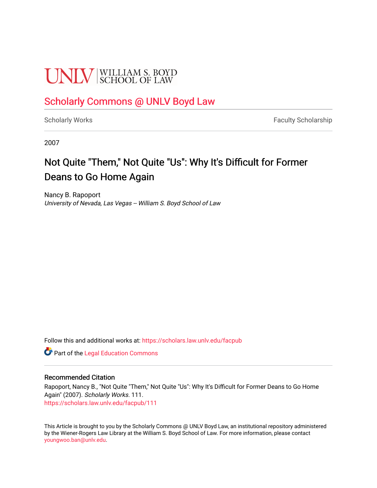# **UNIV** SCHOOL OF LAW

### [Scholarly Commons @ UNLV Boyd Law](https://scholars.law.unlv.edu/)

[Scholarly Works](https://scholars.law.unlv.edu/facpub) **Faculty Scholarship** Faculty Scholarship

2007

## Not Quite "Them," Not Quite "Us": Why It's Difficult for Former Deans to Go Home Again

Nancy B. Rapoport University of Nevada, Las Vegas -- William S. Boyd School of Law

Follow this and additional works at: [https://scholars.law.unlv.edu/facpub](https://scholars.law.unlv.edu/facpub?utm_source=scholars.law.unlv.edu%2Ffacpub%2F111&utm_medium=PDF&utm_campaign=PDFCoverPages)

**C** Part of the Legal Education Commons

#### Recommended Citation

Rapoport, Nancy B., "Not Quite "Them," Not Quite "Us": Why It's Difficult for Former Deans to Go Home Again" (2007). Scholarly Works. 111. [https://scholars.law.unlv.edu/facpub/111](https://scholars.law.unlv.edu/facpub/111?utm_source=scholars.law.unlv.edu%2Ffacpub%2F111&utm_medium=PDF&utm_campaign=PDFCoverPages)

This Article is brought to you by the Scholarly Commons @ UNLV Boyd Law, an institutional repository administered by the Wiener-Rogers Law Library at the William S. Boyd School of Law. For more information, please contact [youngwoo.ban@unlv.edu.](mailto:youngwoo.ban@unlv.edu)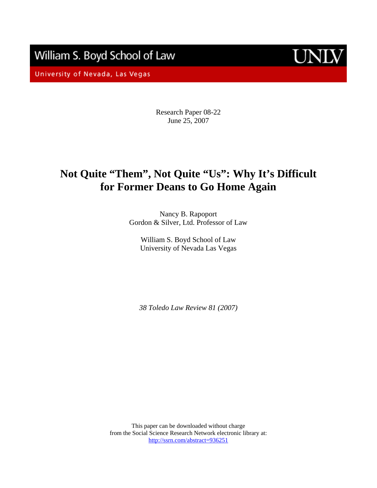William S. Boyd School of Law

University of Nevada, Las Vegas



Research Paper 08-22 June 25, 2007

### **Not Quite "Them", Not Quite "Us": Why It's Difficult for Former Deans to Go Home Again**

Nancy B. Rapoport Gordon & Silver, Ltd. Professor of Law

William S. Boyd School of Law University of Nevada Las Vegas

*38 Toledo Law Review 81 (2007)* 

This paper can be downloaded without charge from the Social Science Research Network electronic library at: http://ssrn.com/abstract=936251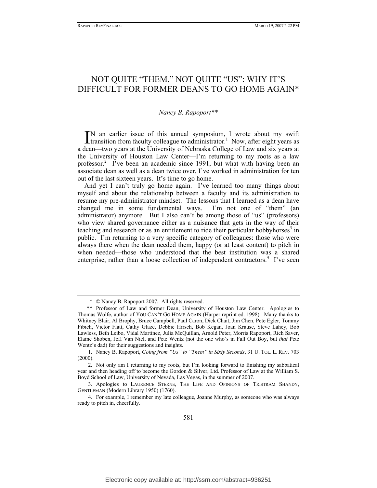### NOT QUITE "THEM," NOT QUITE "US": WHY IT'S DIFFICULT FOR FORMER DEANS TO GO HOME AGAIN\*

#### *Nancy B. Rapoport\*\**

N an earlier issue of this annual symposium, I wrote about my swift  $\prod$ N an earlier issue of this annual symposium, I wrote about my swift transition from faculty colleague to administrator.<sup>1</sup> Now, after eight years as a dean—two years at the University of Nebraska College of Law and six years at the University of Houston Law Center—I'm returning to my roots as a law professor.<sup>2</sup> I've been an academic since 1991, but what with having been an associate dean as well as a dean twice over, I've worked in administration for ten out of the last sixteen years. It's time to go home.

And yet I can't truly go home again. I've learned too many things about myself and about the relationship between a faculty and its administration to resume my pre-administrator mindset. The lessons that I learned as a dean have changed me in some fundamental ways. I'm not one of "them" (an administrator) anymore. But I also can't be among those of "us" (professors) who view shared governance either as a nuisance that gets in the way of their teaching and research or as an entitlement to ride their particular hobbyhorses<sup>3</sup> in public. I'm returning to a very specific category of colleagues: those who were always there when the dean needed them, happy (or at least content) to pitch in when needed—those who understood that the best institution was a shared enterprise, rather than a loose collection of independent contractors.<sup>4</sup> I've seen

 <sup>\* ©</sup> Nancy B. Rapoport 2007. All rights reserved.

 <sup>\*\*</sup> Professor of Law and former Dean, University of Houston Law Center. Apologies to Thomas Wolfe, author of YOU CAN'T GO HOME AGAIN (Harper reprint ed. 1998). Many thanks to Whitney Blair, Al Brophy, Bruce Campbell, Paul Caron, Dick Chait, Jim Chen, Pete Egler, Tommy Fibich, Victor Flatt, Cathy Glaze, Debbie Hirsch, Bob Kegan, Joan Krause, Steve Lahey, Bob Lawless, Beth Leibo, Vidal Martinez, Julia McQuillan, Arnold Peter, Morris Rapoport, Rich Saver, Elaine Shoben, Jeff Van Niel, and Pete Wentz (not the one who's in Fall Out Boy, but *that* Pete Wentz's dad) for their suggestions and insights.

 <sup>1.</sup> Nancy B. Rapoport, *Going from "Us" to "Them" in Sixty Seconds*, 31 U. TOL. L. REV. 703 (2000).

 <sup>2.</sup> Not only am I returning to my roots, but I'm looking forward to finishing my sabbatical year and then heading off to become the Gordon & Silver, Ltd. Professor of Law at the William S. Boyd School of Law, University of Nevada, Las Vegas, in the summer of 2007.

 <sup>3.</sup> Apologies to LAURENCE STERNE, THE LIFE AND OPINIONS OF TRISTRAM SHANDY, GENTLEMAN (Modern Library 1950) (1760).

 <sup>4.</sup> For example, I remember my late colleague, Joanne Murphy, as someone who was always ready to pitch in, cheerfully.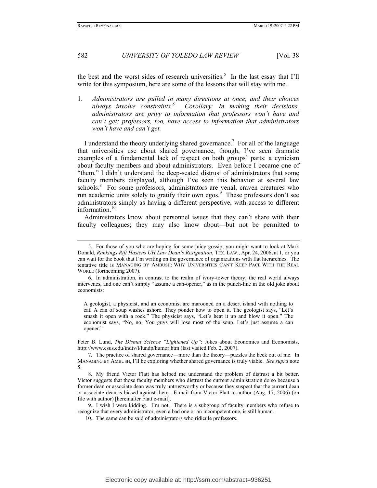the best and the worst sides of research universities.<sup>5</sup> In the last essay that I'll write for this symposium, here are some of the lessons that will stay with me.

1. *Administrators are pulled in many directions at once, and their choices always involve constraints.<sup>6</sup> Corollary: In making their decisions, administrators are privy to information that professors won't have and can't get; professors, too, have access to information that administrators won't have and can't get.*

I understand the theory underlying shared governance.<sup>7</sup> For all of the language that universities use about shared governance, though, I've seen dramatic examples of a fundamental lack of respect on both groups' parts: a cynicism about faculty members and about administrators. Even before I became one of "them," I didn't understand the deep-seated distrust of administrators that some faculty members displayed, although I've seen this behavior at several law schools.<sup>8</sup> For some professors, administrators are venal, craven creatures who run academic units solely to gratify their own egos.<sup>9</sup> These professors don't see administrators simply as having a different perspective, with access to different information.<sup>10</sup>

Administrators know about personnel issues that they can't share with their faculty colleagues; they may also know about—but not be permitted to

A geologist, a physicist, and an economist are marooned on a desert island with nothing to eat. A can of soup washes ashore. They ponder how to open it. The geologist says, "Let's smash it open with a rock." The physicist says, "Let's heat it up and blow it open." The economist says, "No, no. You guys will lose most of the soup. Let's just assume a can opener."

Peter B. Lund, *The Dismal Science "Lightened Up"*: Jokes about Economics and Economists, http://www.csus.edu/indiv/l/lundp/humor.htm (last visited Feb. 2, 2007).

 <sup>5.</sup> For those of you who are hoping for some juicy gossip, you might want to look at Mark Donald, *Rankings Rift Hastens UH Law Dean's Resignation*, TEX. LAW., Apr. 24, 2006, at 1, or you can wait for the book that I'm writing on the governance of organizations with flat hierarchies. The tentative title is MANAGING BY AMBUSH: WHY UNIVERSITIES CAN'T KEEP PACE WITH THE REAL WORLD (forthcoming 2007).

 <sup>6.</sup> In administration, in contrast to the realm of ivory-tower theory, the real world always intervenes, and one can't simply "assume a can-opener," as in the punch-line in the old joke about economists:

 <sup>7.</sup> The practice of shared governance—more than the theory—puzzles the heck out of me. In MANAGING BY AMBUSH, I'll be exploring whether shared governance is truly viable. *See supra* note 5.

 <sup>8.</sup> My friend Victor Flatt has helped me understand the problem of distrust a bit better. Victor suggests that those faculty members who distrust the current administration do so because a former dean or associate dean was truly untrustworthy or because they suspect that the current dean or associate dean is biased against them. E-mail from Victor Flatt to author (Aug. 17, 2006) (on file with author) [hereinafter Flatt e-mail].

 <sup>9.</sup> I wish I were kidding. I'm not. There is a subgroup of faculty members who refuse to recognize that every administrator, even a bad one or an incompetent one, is still human.

 <sup>10.</sup> The same can be said of administrators who ridicule professors.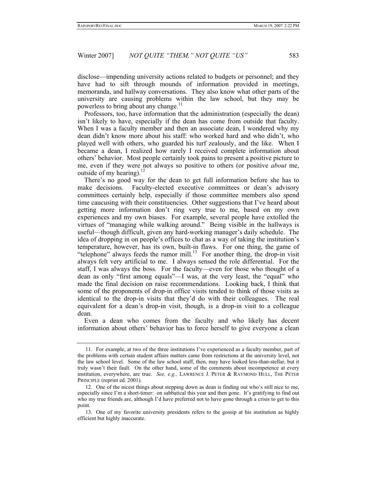disclose—impending university actions related to budgets or personnel; and they have had to sift through mounds of information provided in meetings, memoranda, and hallway conversations. They also know what other parts of the university are causing problems within the law school, but they may be powerless to bring about any change.<sup>11</sup>

Professors, too, have information that the administration (especially the dean) isn't likely to have, especially if the dean has come from outside that faculty. When I was a faculty member and then an associate dean, I wondered why my dean didn't know more about his staff: who worked hard and who didn't, who played well with others, who guarded his turf zealously, and the like. When I became a dean, I realized how rarely I received complete information about others' behavior. Most people certainly took pains to present a positive picture to me, even if they were not always so positive to others (or positive *about* me, outside of my hearing).<sup>12</sup>

There's no good way for the dean to get full information before she has to make decisions. Faculty-elected executive committees or dean's advisory committees certainly help, especially if those committee members also spend time caucusing with their constituencies. Other suggestions that I've heard about getting more information don't ring very true to me, based on my own experiences and my own biases. For example, several people have extolled the virtues of "managing while walking around." Being visible in the hallways is useful—though difficult, given any hard-working manager's daily schedule. The idea of dropping in on people's offices to chat as a way of taking the institution's temperature, however, has its own, built-in flaws. For one thing, the game of "telephone" always feeds the rumor mill.<sup>13</sup> For another thing, the drop-in visit always felt very artificial to me. I always sensed the role differential. For the staff, I was always the boss. For the faculty—even for those who thought of a dean as only "first among equals"—I was, at the very least, the "equal" who made the final decision on raise recommendations. Looking back, I think that some of the proponents of drop-in office visits tended to think of those visits as identical to the drop-in visits that they'd do with their colleagues. The real equivalent for a dean's drop-in visit, though, is a drop-in visit to a colleague dean.

Even a dean who comes from the faculty and who likely has decent information about others' behavior has to force herself to give everyone a clean

 <sup>11.</sup> For example, at two of the three institutions I've experienced as a faculty member, part of the problems with certain student affairs matters came from restrictions at the university level, not the law school level. Some of the law school staff, then, may have looked less-than-stellar, but it truly wasn't their fault. On the other hand, some of the comments about incompetence at every institution, everywhere, are true. *See, e.g.,* LAWRENCE J. PETER & RAYMOND HULL, THE PETER PRINCIPLE (reprint ed. 2001).

 <sup>12.</sup> One of the nicest things about stepping down as dean is finding out who's still nice to me, especially since I'm a short-timer: on sabbatical this year and then gone. It's gratifying to find out who my true friends are, although I'd have preferred not to have gone through a crisis to get to this point.

 <sup>13.</sup> One of my favorite university presidents refers to the gossip at his institution as highly efficient but highly inaccurate.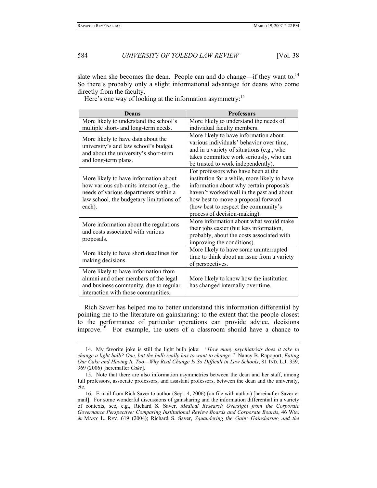slate when she becomes the dean. People can and do change—if they want to.<sup>14</sup> So there's probably only a slight informational advantage for deans who come directly from the faculty.

Here's one way of looking at the information asymmetry:<sup>15</sup>

| <b>Deans</b>                                                                                                                                                                      | <b>Professors</b>                                                                                                                                                                                                                                                                          |
|-----------------------------------------------------------------------------------------------------------------------------------------------------------------------------------|--------------------------------------------------------------------------------------------------------------------------------------------------------------------------------------------------------------------------------------------------------------------------------------------|
| More likely to understand the school's                                                                                                                                            | More likely to understand the needs of                                                                                                                                                                                                                                                     |
| multiple short- and long-term needs.                                                                                                                                              | individual faculty members.                                                                                                                                                                                                                                                                |
| More likely to have data about the<br>university's and law school's budget<br>and about the university's short-term<br>and long-term plans.                                       | More likely to have information about<br>various individuals' behavior over time,<br>and in a variety of situations (e.g., who<br>takes committee work seriously, who can<br>be trusted to work independently).                                                                            |
| More likely to have information about<br>how various sub-units interact (e.g., the<br>needs of various departments within a<br>law school, the budgetary limitations of<br>each). | For professors who have been at the<br>institution for a while, more likely to have<br>information about why certain proposals<br>haven't worked well in the past and about<br>how best to move a proposal forward<br>(how best to respect the community's<br>process of decision-making). |
| More information about the regulations<br>and costs associated with various<br>proposals.                                                                                         | More information about what would make<br>their jobs easier (but less information,<br>probably, about the costs associated with<br>improving the conditions).                                                                                                                              |
| More likely to have short deadlines for<br>making decisions.                                                                                                                      | More likely to have some uninterrupted<br>time to think about an issue from a variety<br>of perspectives.                                                                                                                                                                                  |
| More likely to have information from<br>alumni and other members of the legal<br>and business community, due to regular<br>interaction with those communities.                    | More likely to know how the institution<br>has changed internally over time.                                                                                                                                                                                                               |

Rich Saver has helped me to better understand this information differential by pointing me to the literature on gainsharing: to the extent that the people closest to the performance of particular operations can provide advice, decisions improve.<sup>16</sup> For example, the users of a classroom should have a chance to

 <sup>14.</sup> My favorite joke is still the light bulb joke: *"How many psychiatrists does it take to change a light bulb? One, but the bulb really has to want to change."* Nancy B. Rapoport, *Eating Our Cake and Having It, Too—Why Real Change Is So Difficult in Law Schools*, 81 IND. L.J. 359, 369 (2006) [hereinafter *Cake*].

 <sup>15.</sup> Note that there are also information asymmetries between the dean and her staff, among full professors, associate professors, and assistant professors, between the dean and the university, etc.

 <sup>16.</sup> E-mail from Rich Saver to author (Sept. 4, 2006) (on file with author) [hereinafter Saver email]. For some wonderful discussions of gainsharing and the information differential in a variety of contexts, see, e.g., Richard S. Saver, *Medical Research Oversight from the Corporate Governance Perspective: Comparing Institutional Review Boards and Corporate Boards*, 46 WM. & MARY L. REV. 619 (2004); Richard S. Saver, *Squandering the Gain: Gainsharing and the*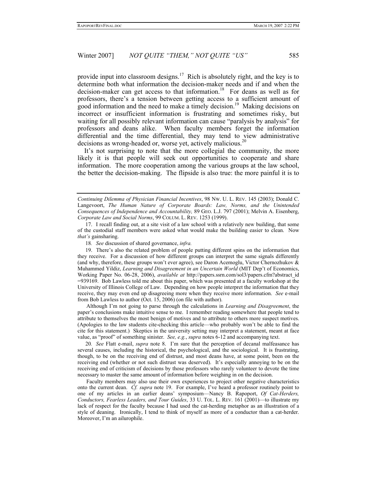provide input into classroom designs.<sup>17</sup> Rich is absolutely right, and the key is to determine both what information the decision-maker needs and if and when the decision-maker can get access to that information.<sup>18</sup> For deans as well as for professors, there's a tension between getting access to a sufficient amount of good information and the need to make a timely decision.<sup>19</sup> Making decisions on incorrect or insufficient information is frustrating and sometimes risky, but waiting for all possibly relevant information can cause "paralysis by analysis" for professors and deans alike. When faculty members forget the information differential and the time differential, they may tend to view administrative decisions as wrong-headed or, worse yet, actively malicious.<sup>20</sup>

It's not surprising to note that the more collegial the community, the more likely it is that people will seek out opportunities to cooperate and share information. The more cooperation among the various groups at the law school, the better the decision-making. The flipside is also true: the more painful it is to

 17. I recall finding out, at a site visit of a law school with a relatively new building, that some of the custodial staff members were asked what would make the building easier to clean. Now *that's* gainsharing.

18*. See* discussion of shared governance, *infra.*

 19. There's also the related problem of people putting different spins on the information that they receive. For a discussion of how different groups can interpret the same signals differently (and why, therefore, these groups won't ever agree), see Daron Acemoglu, Victor Chernozhukov & Muhammed Yildiz, *Learning and Disagreement in an Uncertain World* (MIT Dep't of Economics, Working Paper No. 06-28, 2006), *available at* http://papers.ssrn.com/sol3/papers.cfm?abstract\_id =939169. Bob Lawless told me about this paper, which was presented at a faculty workshop at the University of Illinois College of Law. Depending on how people interpret the information that they receive, they may even end up disagreeing more when they receive more information. *See* e-mail from Bob Lawless to author (Oct. 15, 2006) (on file with author).

Although I'm not going to parse through the calculations in *Learning and Disagreement*, the paper's conclusions make intuitive sense to me. I remember reading somewhere that people tend to attribute to themselves the most benign of motives and to attribute to others more suspect motives. (Apologies to the law students cite-checking this article—who probably won't be able to find the cite for this statement.) Skeptics in the university setting may interpret a statement, meant at face value, as "proof" of something sinister. *See, e.g.*, *supra* notes 6-12 and accompanying text.

20*. See* Flatt e-mail, *supra* note 8. I'm sure that the perception of decanal malfeasance has several causes, including the historical, the psychological, and the sociological. It is frustrating, though, to be on the receiving end of distrust, and most deans have, at some point, been on the receiving end (whether or not such distrust was deserved). It's especially annoying to be on the receiving end of criticism of decisions by those professors who rarely volunteer to devote the time necessary to master the same amount of information before weighing in on the decision.

Faculty members may also use their own experiences to project other negative characteristics onto the current dean. *Cf. supra* note 19. For example, I've heard a professor routinely point to one of my articles in an earlier deans' symposium—Nancy B. Rapoport, *Of Cat-Herders, Conductors, Fearless Leaders, and Tour Guides*, 33 U. TOL. L. REV. 161 (2001)—to illustrate my lack of respect for the faculty because I had used the cat-herding metaphor as an illustration of a style of deaning. Ironically, I tend to think of myself as more of a conductor than a cat-herder. Moreover, I'm an ailurophile.

*Continuing Dilemma of Physician Financial Incentives*, 98 NW. U. L. REV. 145 (2003); Donald C. Langevoort, *The Human Nature of Corporate Boards: Law, Norms, and the Unintended Consequences of Independence and Accountability,* 89 GEO. L.J. 797 (2001); Melvin A. Eisenberg, *Corporate Law and Social Norms*, 99 COLUM. L. REV. 1253 (1999).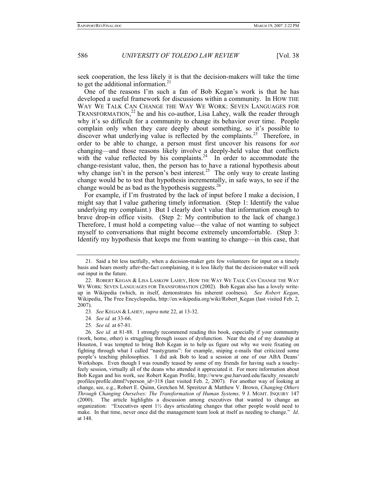seek cooperation, the less likely it is that the decision-makers will take the time to get the additional information.<sup>21</sup>

One of the reasons I'm such a fan of Bob Kegan's work is that he has developed a useful framework for discussions within a community. In HOW THE WAY WE TALK CAN CHANGE THE WAY WE WORK: SEVEN LANGUAGES FOR TRANSFORMATION,<sup>22</sup> he and his co-author, Lisa Lahey, walk the reader through why it's so difficult for a community to change its behavior over time. People complain only when they care deeply about something, so it's possible to discover what underlying value is reflected by the complaints.<sup>23</sup> Therefore, in order to be able to change, a person must first uncover his reasons for *not*  changing—and those reasons likely involve a deeply-held value that conflicts with the value reflected by his complaints.<sup>24</sup> In order to accommodate the change-resistant value, then, the person has to have a rational hypothesis about why change isn't in the person's best interest.<sup>25</sup> The only way to create lasting change would be to test that hypothesis incrementally, in safe ways, to see if the change would be as bad as the hypothesis suggests.<sup>26</sup>

For example, if I'm frustrated by the lack of input before I make a decision, I might say that I value gathering timely information. (Step 1: Identify the value underlying my complaint.) But I clearly don't value that information enough to brave drop-in office visits. (Step 2: My contribution to the lack of change.) Therefore, I must hold a competing value—the value of not wanting to subject myself to conversations that might become extremely uncomfortable. (Step 3: Identify my hypothesis that keeps me from wanting to change—in this case, that

 <sup>21.</sup> Said a bit less tactfully, when a decision-maker gets few volunteers for input on a timely basis and hears mostly after-the-fact complaining, it is less likely that the decision-maker will seek out input in the future.

 <sup>22.</sup> ROBERT KEGAN & LISA LASKOW LAHEY, HOW THE WAY WE TALK CAN CHANGE THE WAY WE WORK: SEVEN LANGUAGES FOR TRANSFORMATION (2002). Bob Kegan also has a lovely writeup in Wikipedia (which, in itself, demonstrates his inherent coolness). *See Robert Kegan*, Wikipedia, The Free Encyclopedia, http://en.wikipedia.org/wiki/Robert\_Kegan (last visited Feb. 2, 2007).

<sup>23</sup>*. See* KEGAN & LAHEY, *supra* note 22, at 13-32.

<sup>24</sup>*. See id.* at 33-66.

<sup>25</sup>*. See id.* at 67-81.

<sup>26</sup>*. See id.* at 81-88. I strongly recommend reading this book, especially if your community (work, home, other) is struggling through issues of dysfunction. Near the end of my deanship at Houston, I was tempted to bring Bob Kegan in to help us figure out why we were fixating on fighting through what I called "nastygrams": for example, sniping e-mails that criticized some people's teaching philosophies. I did ask Bob to lead a session at one of our ABA Deans' Workshops. Even though I was roundly teased by some of my friends for having such a touchyfeely session, virtually all of the deans who attended it appreciated it. For more information about Bob Kegan and his work, see Robert Kegan Profile, http://www.gse.harvard.edu/faculty\_research/ profiles/profile.shtml?vperson\_id=318 (last visited Feb. 2, 2007). For another way of looking at change, see, e.g., Robert E. Quinn, Gretchen M. Spreitzer & Matthew V. Brown, *Changing Others Through Changing Ourselves: The Transformation of Human Systems,* 9 J. MGMT. INQUIRY 147 (2000). The article highlights a discussion among executives that wanted to change an organization: "Executives spent  $1\frac{1}{2}$  days articulating changes that other people would need to make. In that time, never once did the management team look at itself as needing to change." *Id*. at 148.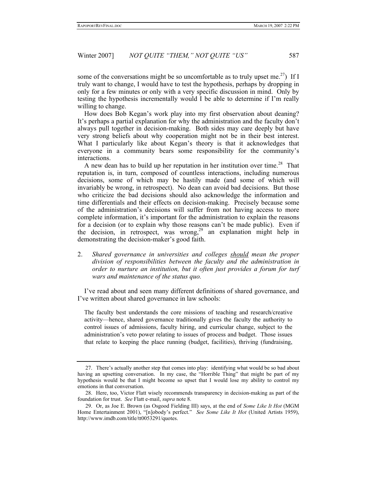some of the conversations might be so uncomfortable as to truly upset me.<sup>27</sup>) If I truly want to change, I would have to test the hypothesis, perhaps by dropping in only for a few minutes or only with a very specific discussion in mind. Only by testing the hypothesis incrementally would I be able to determine if I'm really willing to change.

How does Bob Kegan's work play into my first observation about deaning? It's perhaps a partial explanation for why the administration and the faculty don't always pull together in decision-making. Both sides may care deeply but have very strong beliefs about why cooperation might not be in their best interest. What I particularly like about Kegan's theory is that it acknowledges that everyone in a community bears some responsibility for the community's interactions.

A new dean has to build up her reputation in her institution over time.<sup>28</sup> That reputation is, in turn, composed of countless interactions, including numerous decisions, some of which may be hastily made (and some of which will invariably be wrong, in retrospect). No dean can avoid bad decisions. But those who criticize the bad decisions should also acknowledge the information and time differentials and their effects on decision-making. Precisely because some of the administration's decisions will suffer from not having access to more complete information, it's important for the administration to explain the reasons for a decision (or to explain why those reasons can't be made public). Even if the decision, in retrospect, was wrong,<sup>29</sup> an explanation might help in demonstrating the decision-maker's good faith.

2. *Shared governance in universities and colleges should mean the proper division of responsibilities between the faculty and the administration in order to nurture an institution, but it often just provides a forum for turf wars and maintenance of the status quo.*

I've read about and seen many different definitions of shared governance, and I've written about shared governance in law schools:

The faculty best understands the core missions of teaching and research/creative activity—hence, shared governance traditionally gives the faculty the authority to control issues of admissions, faculty hiring, and curricular change, subject to the administration's veto power relating to issues of process and budget. Those issues that relate to keeping the place running (budget, facilities), thriving (fundraising,

 <sup>27.</sup> There's actually another step that comes into play: identifying what would be so bad about having an upsetting conversation. In my case, the "Horrible Thing" that might be part of my hypothesis would be that I might become so upset that I would lose my ability to control my emotions in that conversation.

 <sup>28.</sup> Here, too, Victor Flatt wisely recommends transparency in decision-making as part of the foundation for trust. *See* Flatt e-mail, *supra* note 8.

 <sup>29.</sup> Or, as Joe E. Brown (as Osgood Fielding III) says, at the end of *Some Like It Hot* (MGM Home Entertainment 2001), "[n]obody's perfect." *See Some Like It Hot* (United Artists 1959), http://www.imdb.com/title/tt0053291/quotes.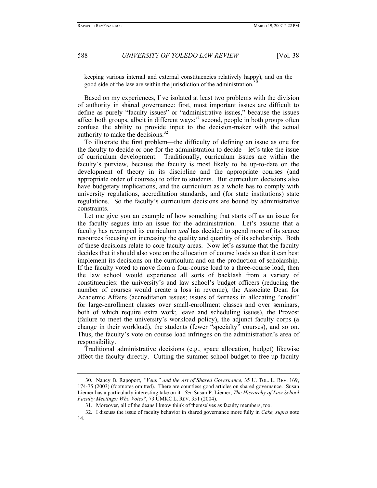keeping various internal and external constituencies relatively happy), and on the good side of the law are within the jurisdiction of the administration.

Based on my experiences, I've isolated at least two problems with the division of authority in shared governance: first, most important issues are difficult to define as purely "faculty issues" or "administrative issues," because the issues affect both groups, albeit in different ways; $31$  second, people in both groups often confuse the ability to provide input to the decision-maker with the actual authority to make the decisions.<sup>32</sup>

To illustrate the first problem—the difficulty of defining an issue as one for the faculty to decide or one for the administration to decide—let's take the issue of curriculum development. Traditionally, curriculum issues are within the faculty's purview, because the faculty is most likely to be up-to-date on the development of theory in its discipline and the appropriate courses (and appropriate order of courses) to offer to students. But curriculum decisions also have budgetary implications, and the curriculum as a whole has to comply with university regulations, accreditation standards, and (for state institutions) state regulations. So the faculty's curriculum decisions are bound by administrative constraints.

Let me give you an example of how something that starts off as an issue for the faculty segues into an issue for the administration. Let's assume that a faculty has revamped its curriculum *and* has decided to spend more of its scarce resources focusing on increasing the quality and quantity of its scholarship. Both of these decisions relate to core faculty areas. Now let's assume that the faculty decides that it should also vote on the allocation of course loads so that it can best implement its decisions on the curriculum and on the production of scholarship. If the faculty voted to move from a four-course load to a three-course load, then the law school would experience all sorts of backlash from a variety of constituencies: the university's and law school's budget officers (reducing the number of courses would create a loss in revenue), the Associate Dean for Academic Affairs (accreditation issues; issues of fairness in allocating "credit" for large-enrollment classes over small-enrollment classes and over seminars, both of which require extra work; leave and scheduling issues), the Provost (failure to meet the university's workload policy), the adjunct faculty corps (a change in their workload), the students (fewer "specialty" courses), and so on. Thus, the faculty's vote on course load infringes on the administration's area of responsibility.

Traditional administrative decisions (e.g., space allocation, budget) likewise affect the faculty directly. Cutting the summer school budget to free up faculty

 <sup>30.</sup> Nancy B. Rapoport, *"Venn" and the Art of Shared Governance*, 35 U. TOL. L. REV. 169, 174-75 (2003) (footnotes omitted). There are countless good articles on shared governance. Susan Liemer has a particularly interesting take on it. *See* Susan P. Liemer, *The Hierarchy of Law School Faculty Meetings: Who Votes?*, 73 UMKC L. REV. 351 (2004).

 <sup>31.</sup> Moreover, all of the deans I know think of themselves as faculty members, too.

 <sup>32.</sup> I discuss the issue of faculty behavior in shared governance more fully in *Cake, supra* note 14.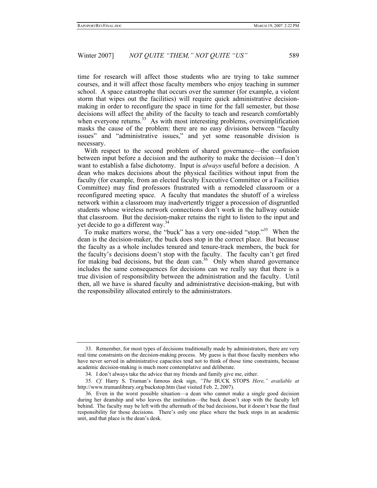time for research will affect those students who are trying to take summer courses, and it will affect those faculty members who enjoy teaching in summer school. A space catastrophe that occurs over the summer (for example, a violent storm that wipes out the facilities) will require quick administrative decisionmaking in order to reconfigure the space in time for the fall semester, but those decisions will affect the ability of the faculty to teach and research comfortably when everyone returns.<sup>33</sup> As with most interesting problems, oversimplification masks the cause of the problem: there are no easy divisions between "faculty issues" and "administrative issues," and yet some reasonable division is necessary.

With respect to the second problem of shared governance—the confusion between input before a decision and the authority to make the decision—I don't want to establish a false dichotomy. Input is *always* useful before a decision. A dean who makes decisions about the physical facilities without input from the faculty (for example, from an elected faculty Executive Committee or a Facilities Committee) may find professors frustrated with a remodeled classroom or a reconfigured meeting space. A faculty that mandates the shutoff of a wireless network within a classroom may inadvertently trigger a procession of disgruntled students whose wireless network connections don't work in the hallway outside that classroom. But the decision-maker retains the right to listen to the input and yet decide to go a different way.34

To make matters worse, the "buck" has a very one-sided "stop."35 When the dean is the decision-maker, the buck does stop in the correct place. But because the faculty as a whole includes tenured and tenure-track members, the buck for the faculty's decisions doesn't stop with the faculty. The faculty can't get fired for making bad decisions, but the dean can.<sup>36</sup> Only when shared governance includes the same consequences for decisions can we really say that there is a true division of responsibility between the administration and the faculty. Until then, all we have is shared faculty and administrative decision-making, but with the responsibility allocated entirely to the administrators.

 <sup>33.</sup> Remember, for most types of decisions traditionally made by administrators, there are very real time constraints on the decision-making process. My guess is that those faculty members who have never served in administrative capacities tend not to think of those time constraints, because academic decision-making is much more contemplative and deliberate.

 <sup>34.</sup> I don't always take the advice that my friends and family give me, either.

<sup>35</sup>*. Cf.* Harry S. Truman's famous desk sign, *"The* BUCK STOPS *Here," available at*  http://www.trumanlibrary.org/buckstop.htm (last visited Feb. 2, 2007).

 <sup>36.</sup> Even in the worst possible situation—a dean who cannot make a single good decision during her deanship and who leaves the institution—the buck doesn't stop with the faculty left behind. The faculty may be left with the aftermath of the bad decisions, but it doesn't bear the final responsibility for those decisions. There's only one place where the buck stops in an academic unit, and that place is the dean's desk.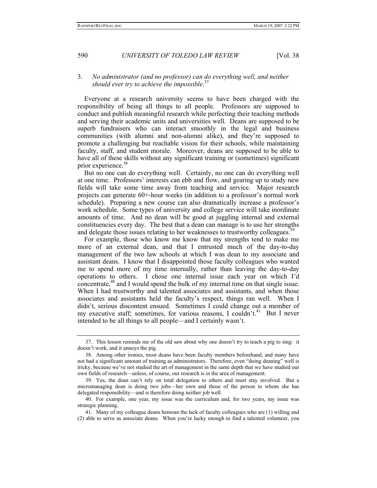#### 3. *No administrator (and no professor) can do everything well, and neither should ever try to achieve the impossible*. 37

Everyone at a research university seems to have been charged with the responsibility of being all things to all people. Professors are supposed to conduct and publish meaningful research while perfecting their teaching methods and serving their academic units and universities well. Deans are supposed to be superb fundraisers who can interact smoothly in the legal and business communities (with alumni and non-alumni alike), and they're supposed to promote a challenging but reachable vision for their schools, while maintaining faculty, staff, and student morale. Moreover, deans are supposed to be able to have all of these skills without any significant training or (sometimes) significant prior experience.<sup>38</sup>

But no one can do everything well. Certainly, no one can do everything well at one time. Professors' interests can ebb and flow, and gearing up to study new fields will take some time away from teaching and service. Major research projects can generate 60+-hour weeks (in addition to a professor's normal work schedule). Preparing a new course can also dramatically increase a professor's work schedule. Some types of university and college service will take inordinate amounts of time. And no dean will be good at juggling internal and external constituencies every day. The best that a dean can manage is to use her strengths and delegate those issues relating to her weaknesses to trustworthy colleagues.<sup>39</sup>

For example, those who know me know that my strengths tend to make me more of an external dean, and that I entrusted much of the day-to-day management of the two law schools at which I was dean to my associate and assistant deans. I know that I disappointed those faculty colleagues who wanted me to spend more of my time internally, rather than leaving the day-to-day operations to others. I chose one internal issue each year on which I'd concentrate,<sup>40</sup> and I would spend the bulk of my internal time on that single issue. When I had trustworthy and talented associates and assistants, and when those associates and assistants held the faculty's respect, things ran well. When I didn't, serious discontent ensued. Sometimes I could change out a member of my executive staff; sometimes, for various reasons, I couldn't.<sup>41</sup> But I never intended to be all things to all people—and I certainly wasn't.

 <sup>37.</sup> This lesson reminds me of the old saw about why one doesn't try to teach a pig to sing: it doesn't work, and it annoys the pig.

 <sup>38.</sup> Among other ironies, most deans have been faculty members beforehand, and many have not had a significant amount of training as administrators. Therefore, even "doing deaning" well is tricky, because we've not studied the art of management in the same depth that we have studied our own fields of research—unless, of course, our research is *in* the area of management.

 <sup>39.</sup> Yes, the dean can't rely on total delegation to others and must stay involved. But a micromanaging dean is doing two jobs—her own and those of the person to whom she has delegated responsibility—and is therefore doing neither job well.

 <sup>40.</sup> For example, one year, my issue was the curriculum and, for two years, my issue was strategic planning.

 <sup>41.</sup> Many of my colleague deans bemoan the lack of faculty colleagues who are (1) willing and (2) able to serve as associate deans. When you're lucky enough to find a talented volunteer, you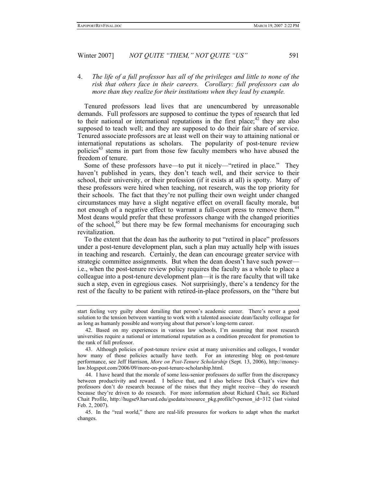#### 4. *The life of a full professor has all of the privileges and little to none of the risk that others face in their careers. Corollary: full professors can do more than they realize for their institutions when they lead by example.*

Tenured professors lead lives that are unencumbered by unreasonable demands. Full professors are supposed to continue the types of research that led to their national or international reputations in the first place; $42$  they are also supposed to teach well; and they are supposed to do their fair share of service. Tenured associate professors are at least well on their way to attaining national or international reputations as scholars. The popularity of post-tenure review policies<sup>43</sup> stems in part from those few faculty members who have abused the freedom of tenure.

Some of these professors have—to put it nicely—"retired in place." They haven't published in years, they don't teach well, and their service to their school, their university, or their profession (if it exists at all) is spotty. Many of these professors were hired when teaching, not research, was the top priority for their schools. The fact that they're not pulling their own weight under changed circumstances may have a slight negative effect on overall faculty morale, but not enough of a negative effect to warrant a full-court press to remove them.<sup>44</sup> Most deans would prefer that these professors change with the changed priorities of the school,<sup>45</sup> but there may be few formal mechanisms for encouraging such revitalization.

To the extent that the dean has the authority to put "retired in place" professors under a post-tenure development plan, such a plan may actually help with issues in teaching and research. Certainly, the dean can encourage greater service with strategic committee assignments. But when the dean doesn't have such power i.e., when the post-tenure review policy requires the faculty as a whole to place a colleague into a post-tenure development plan—it is the rare faculty that will take such a step, even in egregious cases. Not surprisingly, there's a tendency for the rest of the faculty to be patient with retired-in-place professors, on the "there but

start feeling very guilty about derailing that person's academic career. There's never a good solution to the tension between wanting to work with a talented associate dean/faculty colleague for as long as humanly possible and worrying about that person's long-term career.

 <sup>42.</sup> Based on my experiences in various law schools, I'm assuming that most research universities require a national or international reputation as a condition precedent for promotion to the rank of full professor.

 <sup>43.</sup> Although policies of post-tenure review exist at many universities and colleges, I wonder how many of those policies actually have teeth. For an interesting blog on post-tenure performance, see Jeff Harrison, *More on Post-Tenure Scholarship* (Sept. 13, 2006), http://moneylaw.blogspot.com/2006/09/more-on-post-tenure-scholarship.html.

 <sup>44.</sup> I have heard that the morale of some less-senior professors do suffer from the discrepancy between productivity and reward. I believe that, and I also believe Dick Chait's view that professors don't do research because of the raises that they might receive—they do research because they're driven to do research. For more information about Richard Chait, see Richard Chait Profile, http://hugse9.harvard.edu/gsedata/resource\_pkg.profile?vperson\_id=312 (last visited Feb. 2, 2007).

 <sup>45.</sup> In the "real world," there are real-life pressures for workers to adapt when the market changes.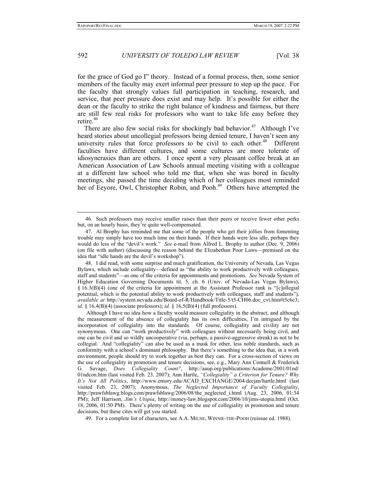for the grace of God go I" theory. Instead of a formal process, then, some senior members of the faculty may exert informal peer pressure to step up the pace. For the faculty that strongly values full participation in teaching, research, and service, that peer pressure does exist and may help. It's possible for either the dean or the faculty to strike the right balance of kindness and fairness, but there are still few real risks for professors who want to take life easy before they retire.<sup>46</sup>

There are also few social risks for shockingly bad behavior.<sup>47</sup> Although I've heard stories about uncollegial professors being denied tenure, I haven't seen any university rules that force professors to be civil to each other.<sup>48</sup> Different faculties have different cultures, and some cultures are more tolerate of idiosyncrasies than are others. I once spent a very pleasant coffee break at an American Association of Law Schools annual meeting visiting with a colleague at a different law school who told me that, when she was bored in faculty meetings, she passed the time deciding which of her colleagues most reminded her of Eeyore, Owl, Christopher Robin, and Pooh.<sup>49</sup> Others have attempted the

 48. I did read, with some surprise and much gratification, the University of Nevada, Las Vegas Bylaws, which include collegiality—defined as "the ability to work productively with colleagues, staff and students"—as one of the criteria for appointments and promotions. *See* Nevada System of Higher Education Governing Documents tit. 5, ch. 6 (Univ. of Nevada-Las Vegas Bylaws), § 16.3(B)(4) (one of the criteria for appointment at the Assistant Professor rank is "[c]ollegial potential, which is the potential ability to work productively with colleagues, staff and students"), *available at* http://system.nevada.edu/Board-of-R/Handbook/Title-5/t5-CH06.doc\_cvt.htm#t5c6c3; *id*. § 16.4(B)(4) (associate professors); *id.* § 16.5(B)(4) (full professors).

Although I have no idea how a faculty would measure collegiality in the abstract, and although the measurement of the absence of collegiality has its own difficulties, I'm intrigued by the incorporation of collegiality into the standards. Of course, collegiality and civility are not synonymous. One can "work productively" with colleagues without necessarily being civil, and one can be civil and so wildly uncooperative (via, perhaps, a passive-aggressive streak) as not to be collegial. And "collegiality" can also be used as a mask for other, less noble standards, such as conformity with a school's dominant philosophy. But there's something to the idea that, in a work environment, people should try to work together as best they can. For a cross-section of views on the use of collegiality in promotion and tenure decisions, see, e.g., Mary Ann Connell & Frederick G. Savage, *Does Collegiality Count?*, http://aaup.org/publications/Academe/2001/01nd/ 01ndcon.htm (last visited Feb. 23, 2007); Ann Hartle, *"Collegiality" a Criterion for Tenure? Why It's Not All Politics*, http://www.emory.edu/ACAD\_EXCHANGE/2004/decjan/hartle.html (last visited Feb. 23, 2007); Anonymous, *The Neglected Importance of Faculty Collegiality*, http://prawfsblawg.blogs.com/prawfsblawg/2006/08/the\_neglected\_i.html (Aug. 23, 2006, 01:34 PM); Jeff Harrison, *Jim's Utopia*, http://money-law.blogspot.com/2006/10/jims-utopia.html (Oct. 18, 2006, 01:50 PM). There's plenty of writing on the use of collegiality in promotion and tenure decisions, but these cites will get you started.

49. For a complete list of characters, see A.A. MILNE, WINNIE-THE-POOH (reissue ed. 1988).

 <sup>46.</sup> Such professors may receive smaller raises than their peers or receive fewer other perks but, on an hourly basis, they're quite well-compensated.

 <sup>47.</sup> Al Brophy has reminded me that some of the people who get their jollies from fomenting trouble may simply have too much time on their hands. If their hands were less idle, perhaps they would do less of the "devil's work." *See* e-mail from Alfred L. Brophy to author (Dec. 9, 2006) (on file with author) (discussing the reason behind the Elizabethan Poor Laws—premised on the idea that "idle hands are the devil's workshop").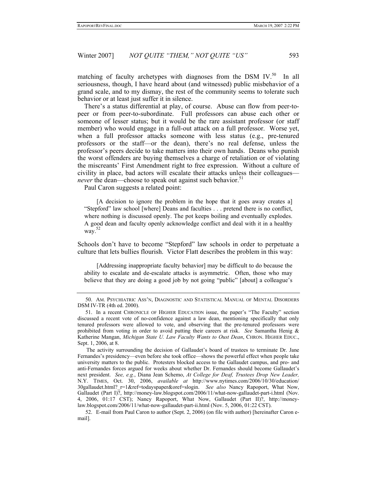matching of faculty archetypes with diagnoses from the DSM IV. $^{50}$  In all seriousness, though, I have heard about (and witnessed) public misbehavior of a grand scale, and to my dismay, the rest of the community seems to tolerate such behavior or at least just suffer it in silence.

There's a status differential at play, of course. Abuse can flow from peer-topeer or from peer-to-subordinate. Full professors can abuse each other or someone of lesser status; but it would be the rare assistant professor (or staff member) who would engage in a full-out attack on a full professor. Worse yet, when a full professor attacks someone with less status (e.g., pre-tenured professors or the staff—or the dean), there's no real defense, unless the professor's peers decide to take matters into their own hands. Deans who punish the worst offenders are buying themselves a charge of retaliation or of violating the miscreants' First Amendment right to free expression. Without a culture of civility in place, bad actors will escalate their attacks unless their colleagues *never* the dean—choose to speak out against such behavior.<sup>51</sup>

Paul Caron suggests a related point:

 [A decision to ignore the problem in the hope that it goes away creates a] "Stepford" law school [where] Deans and faculties . . . pretend there is no conflict, where nothing is discussed openly. The pot keeps boiling and eventually explodes. A good dean and faculty openly acknowledge conflict and deal with it in a healthy way. 52

Schools don't have to become "Stepford" law schools in order to perpetuate a culture that lets bullies flourish. Victor Flatt describes the problem in this way:

 [Addressing inappropriate faculty behavior] may be difficult to do because the ability to escalate and de-escalate attacks is asymmetric. Often, those who may believe that they are doing a good job by not going "public" [about] a colleague's

 <sup>50.</sup> AM. PSYCHIATRIC ASS'N, DIAGNOSTIC AND STATISTICAL MANUAL OF MENTAL DISORDERS DSM IV-TR (4th ed. 2000).

 <sup>51.</sup> In a recent CHRONICLE OF HIGHER EDUCATION issue, the paper's "The Faculty" section discussed a recent vote of no-confidence against a law dean, mentioning specifically that only tenured professors were allowed to vote, and observing that the pre-tenured professors were prohibited from voting in order to avoid putting their careers at risk. *See* Samantha Henig & Katherine Mangan, *Michigan State U. Law Faculty Wants to Oust Dean*, CHRON. HIGHER EDUC., Sept. 1, 2006, at 8.

The activity surrounding the decision of Gallaudet's board of trustees to terminate Dr. Jane Fernandes's presidency—even before she took office—shows the powerful effect when people take university matters to the public. Protesters blocked access to the Gallaudet campus, and pro- and anti-Fernandes forces argued for weeks about whether Dr. Fernandes should become Gallaudet's next president. *See, e.g.*, Diana Jean Schemo, *At College for Deaf, Trustees Drop New Leader,*  N.Y. TIMES, Oct. 30, 2006, *available at* http://www.nytimes.com/2006/10/30/education/ 30gallaudet.html?\_r=1&ref=todayspaper&oref=slogin. *See also* Nancy Rapoport, What Now, Gallaudet (Part I)?, http://money-law.blogspot.com/2006/11/what-now-gallaudet-part-i.html (Nov. 4, 2006, 01:17 CST); Nancy Rapoport, What Now, Gallaudet (Part II)?, http://moneylaw.blogspot.com/2006/11/what-now-gallaudet-part-ii.html (Nov. 5, 2006, 01:22 CST).

 <sup>52.</sup> E-mail from Paul Caron to author (Sept. 2, 2006) (on file with author) [hereinafter Caron email].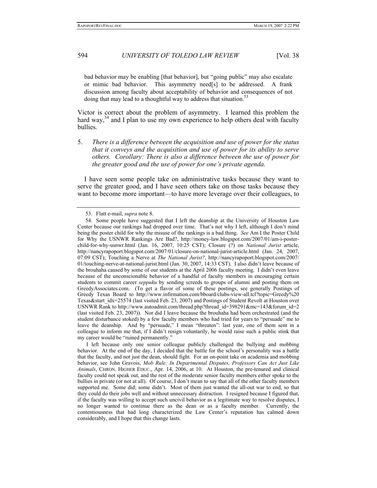bad behavior may be enabling [that behavior], but "going public" may also escalate or mimic bad behavior. This asymmetry need[s] to be addressed. A frank discussion among faculty about acceptability of behavior and consequences of not doing that may lead to a thoughtful way to address that situation.<sup>53</sup>

Victor is correct about the problem of asymmetry. I learned this problem the hard way,<sup>54</sup> and I plan to use my own experience to help others deal with faculty bullies.

5. *There is a difference between the acquisition and use of power for the status that it conveys and the acquisition and use of power for its ability to serve others. Corollary: There is also a difference between the use of power for the greater good and the use of power for one's private agenda.*

I have seen some people take on administrative tasks because they want to serve the greater good, and I have seen others take on those tasks because they want to become more important—to have more leverage over their colleagues, to

 <sup>53.</sup> Flatt e-mail, *supra* note 8.

 <sup>54.</sup> Some people have suggested that I left the deanship at the University of Houston Law Center because our rankings had dropped over time. That's not why I left, although I don't mind being the poster child for why the misuse of the rankings is a bad thing. *See* Am I the Poster Child for Why the USNWR Rankings Are Bad?, http://money-law.blogspot.com/2007/01/am-i-posterchild-for-why-usnwr.html (Jan. 16, 2007, 10:25 CST); Closure (?) on *National Jurist* article, http://nancyrapoport.blogspot.com/2007/01/closure-on-national-jurist-article.html (Jan. 24, 2007, 07:09 CST); Touching a Nerve at *The National Jurist?*, http://nancyrapoport.blogspot.com/2007/ 01/touching-nerve-at-national-jurist.html (Jan. 30, 2007, 14:33 CST). I also didn't leave because of the brouhaha caused by some of our students at the April 2006 faculty meeting. I didn't even leave because of the unconscionable behavior of a handful of faculty members in encouraging certain students to commit career *seppuku* by sending screeds to groups of alumni and posting them on GreedyAssociates.com. (To get a flavor of some of these postings, see generally Postings of Greedy Texas Board to http://www.infirmation.com/bboard/clubs-view-all.tcl?topic=Greedy%20 Texas&start\_idx=25574 (last visited Feb. 23, 2007) and Postings of Student Revolt at Houston over USNWR Rank to http://www.autoadmit.com/thread.php?thread\_id=398291&mc=143&forum\_id=2 (last visited Feb. 23, 2007)). Nor did I leave because the brouhaha had been orchestrated (and the student disturbance stoked) by a few faculty members who had tried for years to "persuade" me to leave the deanship. And by "persuade," I mean "threaten": last year, one of them sent in a colleague to inform me that, if I didn't resign voluntarily, he would raise such a public stink that my career would be "ruined permanently."

I left because only one senior colleague publicly challenged the bullying and mobbing behavior. At the end of the day, I decided that the battle for the school's personality was a battle that the faculty, and not just the dean, should fight. For an on-point take on academia and mobbing behavior, see John Gravois, *Mob Rule: In Departmental Disputes, Professors Can Act Just Like Animals*, CHRON. HIGHER EDUC., Apr. 14, 2006, at 10. At Houston, the pre-tenured and clinical faculty could not speak out, and the rest of the moderate senior faculty members either spoke to the bullies in private (or not at all). Of course, I don't mean to say that all of the other faculty members supported me. Some did; some didn't. Most of them just wanted the all-out war to end, so that they could do their jobs well and without unnecessary distraction. I resigned because I figured that, if the faculty was willing to accept such uncivil behavior as a legitimate way to resolve disputes, I no longer wanted to continue there as the dean or as a faculty member. Currently, the contentiousness that had long characterized the Law Center's reputation has calmed down considerably, and I hope that this change lasts.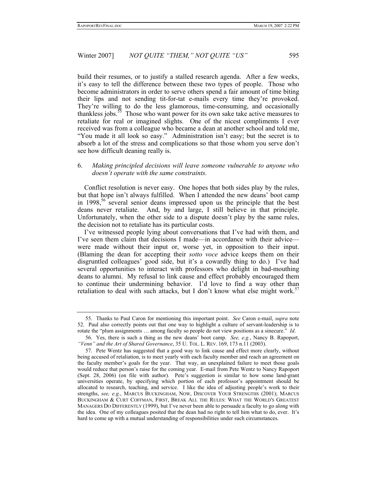build their resumes, or to justify a stalled research agenda. After a few weeks, it's easy to tell the difference between these two types of people. Those who become administrators in order to serve others spend a fair amount of time biting their lips and not sending tit-for-tat e-mails every time they're provoked. They're willing to do the less glamorous, time-consuming, and occasionally thankless jobs.55 Those who want power for its own sake take active measures to retaliate for real or imagined slights. One of the nicest compliments I ever received was from a colleague who became a dean at another school and told me, "You made it all look so easy." Administration isn't easy; but the secret is to absorb a lot of the stress and complications so that those whom you serve don't see how difficult deaning really is.

#### 6. *Making principled decisions will leave someone vulnerable to anyone who doesn't operate with the same constraints.*

Conflict resolution is never easy. One hopes that both sides play by the rules, but that hope isn't always fulfilled. When I attended the new deans' boot camp in  $1998$ ,<sup>56</sup> several senior deans impressed upon us the principle that the best deans never retaliate. And, by and large, I still believe in that principle. Unfortunately, when the other side to a dispute doesn't play by the same rules, the decision not to retaliate has its particular costs.

I've witnessed people lying about conversations that I've had with them, and I've seen them claim that decisions I made—in accordance with their advice were made without their input or, worse yet, in opposition to their input. (Blaming the dean for accepting their *sotto voce* advice keeps them on their disgruntled colleagues' good side, but it's a cowardly thing to do.) I've had several opportunities to interact with professors who delight in bad-mouthing deans to alumni. My refusal to link cause and effect probably encouraged them to continue their undermining behavior. I'd love to find a way other than retaliation to deal with such attacks, but I don't know what else might work.<sup>57</sup>

 <sup>55.</sup> Thanks to Paul Caron for mentioning this important point. *See* Caron e-mail, *supra* note 52. Paul also correctly points out that one way to highlight a culture of servant-leadership is to rotate the "plum assignments … among faculty so people do not view positions as a sinecure." *Id*.

 <sup>56.</sup> Yes, there is such a thing as the new deans' boot camp. *See, e.g.*, Nancy B. Rapoport, *"Venn" and the Art of Shared Governance*, 35 U. TOL. L. REV. 169, 173 n.11 (2003).

 <sup>57.</sup> Pete Wentz has suggested that a good way to link cause and effect more clearly, without being accused of retaliation, is to meet yearly with each faculty member and reach an agreement on the faculty member's goals for the year. That way, an unexplained failure to meet those goals would reduce that person's raise for the coming year. E-mail from Pete Wentz to Nancy Rapoport (Sept. 28, 2006) (on file with author). Pete's suggestion is similar to how some land-grant universities operate, by specifying which portion of each professor's appointment should be allocated to research, teaching, and service. I like the idea of adjusting people's work to their strengths, *see, e.g.*, MARCUS BUCKINGHAM, NOW, DISCOVER YOUR STRENGTHS (2001); MARCUS BUCKINGHAM & CURT COFFMAN, FIRST, BREAK ALL THE RULES: WHAT THE WORLD'S GREATEST MANAGERS DO DIFFERENTLY (1999), but I've never been able to persuade a faculty to go along with the idea. One of my colleagues posited that the dean had no right to tell him what to do, ever. It's hard to come up with a mutual understanding of responsibilities under such circumstances.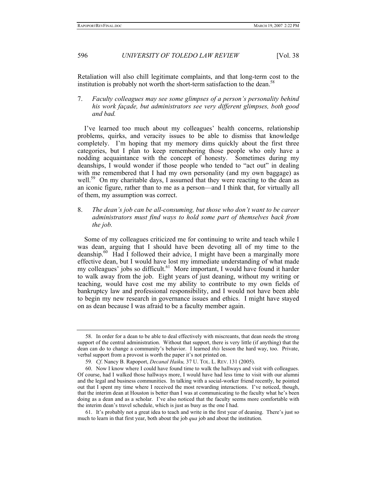Retaliation will also chill legitimate complaints, and that long-term cost to the institution is probably not worth the short-term satisfaction to the dean. $\frac{3}{5}$ 

7. *Faculty colleagues may see some glimpses of a person's personality behind his work façade, but administrators see very different glimpses, both good and bad.*

I've learned too much about my colleagues' health concerns, relationship problems, quirks, and veracity issues to be able to dismiss that knowledge completely. I'm hoping that my memory dims quickly about the first three categories, but I plan to keep remembering those people who only have a nodding acquaintance with the concept of honesty. Sometimes during my deanships, I would wonder if those people who tended to "act out" in dealing with me remembered that I had my own personality (and my own baggage) as well.<sup>59</sup> On my charitable days, I assumed that they were reacting to the dean as an iconic figure, rather than to me as a person—and I think that, for virtually all of them, my assumption was correct.

8. *The dean's job can be all-consuming, but those who don't want to be career administrators must find ways to hold some part of themselves back from the job.*

Some of my colleagues criticized me for continuing to write and teach while I was dean, arguing that I should have been devoting all of my time to the deanship.<sup>60</sup> Had I followed their advice, I might have been a marginally more effective dean, but I would have lost my immediate understanding of what made my colleagues' jobs so difficult.<sup>61</sup> More important, I would have found it harder to walk away from the job. Eight years of just deaning, without my writing or teaching, would have cost me my ability to contribute to my own fields of bankruptcy law and professional responsibility, and I would not have been able to begin my new research in governance issues and ethics. I might have stayed on as dean because I was afraid to be a faculty member again.

 <sup>58.</sup> In order for a dean to be able to deal effectively with miscreants, that dean needs the strong support of the central administration. Without that support, there is very little (if anything) that the dean can do to change a community's behavior. I learned *this* lesson the hard way, too. Private, verbal support from a provost is worth the paper it's not printed on.

<sup>59</sup>*. Cf*. Nancy B. Rapoport, *Decanal Haiku,* 37 U. TOL. L. REV. 131 (2005).

 <sup>60.</sup> Now I know where I could have found time to walk the hallways and visit with colleagues. Of course, had I walked those hallways more, I would have had less time to visit with our alumni and the legal and business communities. In talking with a social-worker friend recently, he pointed out that I spent my time where I received the most rewarding interactions. I've noticed, though, that the interim dean at Houston is better than I was at communicating to the faculty what he's been doing as a dean and as a scholar. I've also noticed that the faculty seems more comfortable with the interim dean's travel schedule, which is just as busy as the one I had.

 <sup>61.</sup> It's probably not a great idea to teach and write in the first year of deaning. There's just so much to learn in that first year, both about the job *qua* job and about the institution.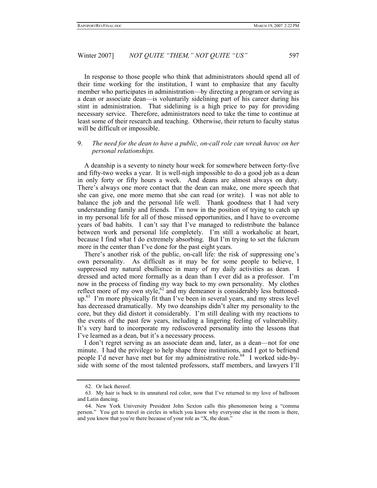In response to those people who think that administrators should spend all of their time working for the institution, I want to emphasize that any faculty member who participates in administration—by directing a program or serving as a dean or associate dean—is voluntarily sidelining part of his career during his stint in administration. That sidelining is a high price to pay for providing necessary service. Therefore, administrators need to take the time to continue at least some of their research and teaching. Otherwise, their return to faculty status will be difficult or impossible.

#### 9. *The need for the dean to have a public, on-call role can wreak havoc on her personal relationships.*

A deanship is a seventy to ninety hour week for somewhere between forty-five and fifty-two weeks a year. It is well-nigh impossible to do a good job as a dean in only forty or fifty hours a week. And deans are almost always on duty. There's always one more contact that the dean can make, one more speech that she can give, one more memo that she can read (or write). I was not able to balance the job and the personal life well. Thank goodness that I had very understanding family and friends. I'm now in the position of trying to catch up in my personal life for all of those missed opportunities, and I have to overcome years of bad habits. I can't say that I've managed to redistribute the balance between work and personal life completely. I'm still a workaholic at heart, because I find what I do extremely absorbing. But I'm trying to set the fulcrum more in the center than I've done for the past eight years.

There's another risk of the public, on-call life: the risk of suppressing one's own personality. As difficult as it may be for some people to believe, I suppressed my natural ebullience in many of my daily activities as dean. I dressed and acted more formally as a dean than I ever did as a professor. I'm now in the process of finding my way back to my own personality. My clothes reflect more of my own style,<sup>62</sup> and my demeanor is considerably less buttonedup.63 I'm more physically fit than I've been in several years, and my stress level has decreased dramatically. My two deanships didn't alter my personality to the core, but they did distort it considerably. I'm still dealing with my reactions to the events of the past few years, including a lingering feeling of vulnerability. It's very hard to incorporate my rediscovered personality into the lessons that I've learned as a dean, but it's a necessary process.

I don't regret serving as an associate dean and, later, as a dean—not for one minute. I had the privilege to help shape three institutions, and I got to befriend people I'd never have met but for my administrative role.<sup>64</sup> I worked side-byside with some of the most talented professors, staff members, and lawyers I'll

 <sup>62.</sup> Or lack thereof.

 <sup>63.</sup> My hair is back to its unnatural red color, now that I've returned to my love of ballroom and Latin dancing.

 <sup>64.</sup> New York University President John Sexton calls this phenomenon being a "comma person." You get to travel in circles in which you know why everyone else in the room is there, and you know that you're there because of your role as "X, the dean."